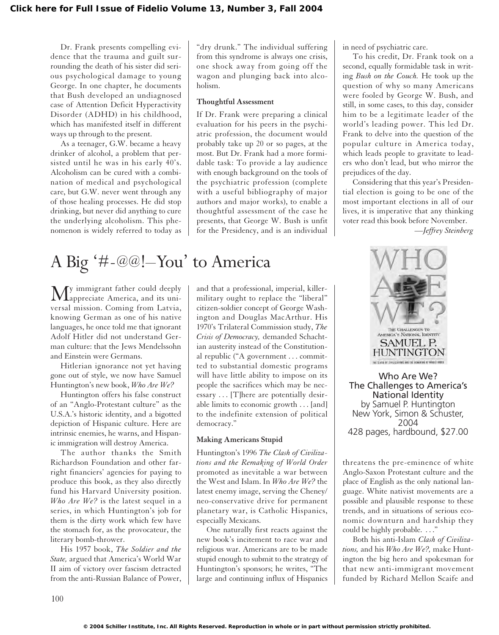Dr. Frank presents compelling evidence that the trauma and guilt surrounding the death of his sister did serious psychological damage to young George. In one chapter, he documents that Bush developed an undiagnosed case of Attention Deficit Hyperactivity Disorder (ADHD) in his childhood, which has manifested itself in different ways up through to the present.

As a teenager, G.W. became a heavy drinker of alcohol, a problem that persisted until he was in his early 40's. Alcoholism can be cured with a combination of medical and psychological care, but G.W. never went through any of those healing processes. He did stop drinking, but never did anything to cure the underlying alcoholism. This phenomenon is widely referred to today as

# A Big '#-@@!–You' to America

My immigrant father could deeply appreciate America, and its universal mission. Coming from Latvia, knowing German as one of his native languages, he once told me that ignorant Adolf Hitler did not understand German culture: that the Jews Mendelssohn and Einstein were Germans.

Hitlerian ignorance not yet having gone out of style, we now have Samuel Huntington's new book, *Who Are We?*

Huntington offers his false construct of an "Anglo-Protestant culture" as the U.S.A.'s historic identity, and a bigotted depiction of Hispanic culture. Here are intrinsic enemies, he warns, and Hispanic immigration will destroy America.

The author thanks the Smith Richardson Foundation and other farright financiers' agencies for paying to produce this book, as they also directly fund his Harvard University position. *Who Are We?* is the latest sequel in a series, in which Huntington's job for them is the dirty work which few have the stomach for, as the provocateur, the literary bomb-thrower.

His 1957 book, *The Soldier and the State,* argued that America's World War II aim of victory over fascism detracted from the anti-Russian Balance of Power,

"dry drunk." The individual suffering from this syndrome is always one crisis, one shock away from going off the wagon and plunging back into alcoholism.

### **Thoughtful Assessment**

If Dr. Frank were preparing a clinical evaluation for his peers in the psychiatric profession, the document would probably take up 20 or so pages, at the most. But Dr. Frank had a more formidable task: To provide a lay audience with enough background on the tools of the psychiatric profession (complete with a useful bibliography of major authors and major works), to enable a thoughtful assessment of the case he presents, that George W. Bush is unfit for the Presidency, and is an individual

and that a professional, imperial, killermilitary ought to replace the "liberal" citizen-soldier concept of George Washington and Douglas MacArthur. His 1970's Trilateral Commission study, *The Crisis of Democracy,* demanded Schachtian austerity instead of the Constitutional republic ("A government . . . committed to substantial domestic programs will have little ability to impose on its people the sacrifices which may be necessary . . . [T]here are potentially desirable limits to economic growth . . . [and] to the indefinite extension of political democracy."

#### **Making Americans Stupid**

Huntington's 1996 *The Clash of Civilizations and the Remaking of World Order* promoted as inevitable a war between the West and Islam. In *Who Are We?* the latest enemy image, serving the Cheney/ neo-conservative drive for permanent planetary war, is Catholic Hispanics, especially Mexicans.

One naturally first reacts against the new book's incitement to race war and religious war. Americans are to be made stupid enough to submit to the strategy of Huntington's sponsors; he writes, "The large and continuing influx of Hispanics

in need of psychiatric care.

To his credit, Dr. Frank took on a second, equally formidable task in writing *Bush on the Couch.* He took up the question of why so many Americans were fooled by George W. Bush, and still, in some cases, to this day, consider him to be a legitimate leader of the world's leading power. This led Dr. Frank to delve into the question of the popular culture in America today, which leads people to gravitate to leaders who don't lead, but who mirror the prejudices of the day.

Considering that this year's Presidential election is going to be one of the most important elections in all of our lives, it is imperative that any thinking voter read this book before November. *—Jeffrey Steinberg*



Who Are We? The Challenges to America's National Identity by Samuel P. Huntington New York, Simon & Schuster, 2004 428 pages, hardbound, \$27.00

threatens the pre-eminence of white Anglo-Saxon Protestant culture and the place of English as the only national language. White nativist movements are a possible and plausible response to these trends, and in situations of serious economic downturn and hardship they could be highly probable. ..."

Both his anti-Islam *Clash of Civilizations,* and his *Who Are We?,* make Huntington the big hero and spokesman for that new anti-immigrant movement funded by Richard Mellon Scaife and